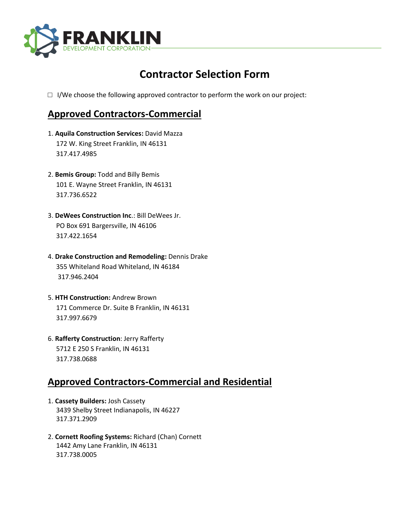

## **Contractor Selection Form**

 $\Box$  I/We choose the following approved contractor to perform the work on our project:

## **Approved Contractors-Commercial**

- 1. **Aquila Construction Services:** David Mazza 172 W. King Street Franklin, IN 46131 317.417.4985
- 2. **Bemis Group:** Todd and Billy Bemis 101 E. Wayne Street Franklin, IN 46131 317.736.6522
- 3. **DeWees Construction Inc**.: Bill DeWees Jr. PO Box 691 Bargersville, IN 46106 317.422.1654
- 4. **Drake Construction and Remodeling:** Dennis Drake 355 Whiteland Road Whiteland, IN 46184 317.946.2404
- 5. **HTH Construction:** Andrew Brown 171 Commerce Dr. Suite B Franklin, IN 46131 317.997.6679
- 6. **Rafferty Construction**: Jerry Rafferty 5712 E 250 S Franklin, IN 46131 317.738.0688

## **Approved Contractors-Commercial and Residential**

- 1. **Cassety Builders:** Josh Cassety 3439 Shelby Street Indianapolis, IN 46227 317.371.2909
- 2. **Cornett Roofing Systems:** Richard (Chan) Cornett 1442 Amy Lane Franklin, IN 46131 317.738.0005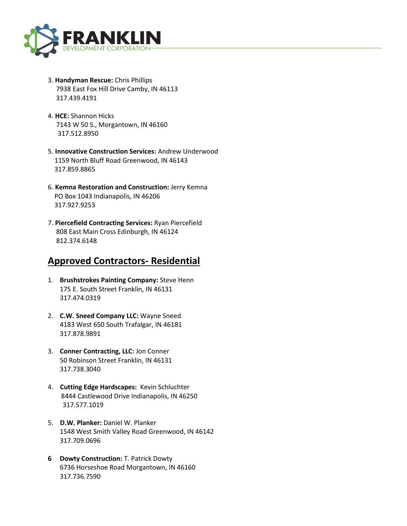

- 3. **Handyman Rescue:** Chris Phillips 7938 East Fox Hill Drive Camby, IN 46113 317.439.4191
- 4. **HCE:** Shannon Hicks 7143 W 50 S., Morgantown, IN 46160 317.512.8950
- 5. **Innovative Construction Services:** Andrew Underwood 1159 North Bluff Road Greenwood, IN 46143 317.859.8865
- 6. **Kemna Restoration and Construction:** Jerry Kemna PO Box 1043 Indianapolis, IN 46206 317.927.9253
- 7. **Piercefield Contracting Services:** Ryan Piercefield 808 East Main Cross Edinburgh, IN 46124 812.374.6148

## **Approved Contractors- Residential**

- 1. **Brushstrokes Painting Company:** Steve Henn 175 E. South Street Franklin, IN 46131 317.474.0319
- 2. **C.W. Sneed Company LLC:** Wayne Sneed 4183 West 650 South Trafalgar, IN 46181 317.878.9891
- 3. **Conner Contracting, LLC:** Jon Conner 50 Robinson Street Franklin, IN 46131 317.738.3040
- 4. **Cutting Edge Hardscapes:** Kevin Schluchter 8444 Castlewood Drive Indianapolis, IN 46250 317.577.1019
- 5. **D.W. Planker:** Daniel W. Planker 1548 West Smith Valley Road Greenwood, IN 46142 317.709.0696
- **6 Dowty Construction:** T. Patrick Dowty 6736 Horseshoe Road Morgantown, IN 46160 317.736.7590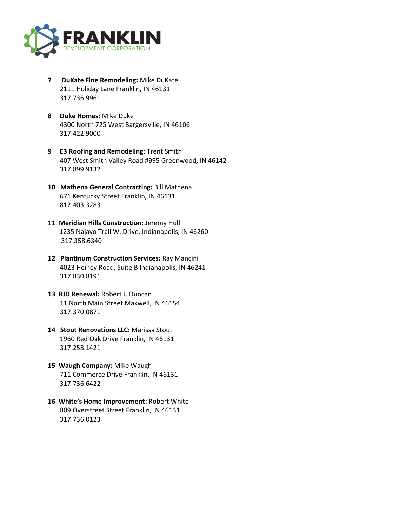

- **7 DuKate Fine Remodeling:** Mike DuKate 2111 Holiday Lane Franklin, IN 46131 317.736.9961
- **8 Duke Homes:** Mike Duke 4300 North 725 West Bargersville, IN 46106 317.422.9000
- **9 E3 Roofing and Remodeling:** Trent Smith 407 West Smith Valley Road #995 Greenwood, IN 46142 317.899.9132
- **10 Mathena General Contracting:** Bill Mathena 671 Kentucky Street Franklin, IN 46131 812.403.3283
- 11. **Meridian Hills Construction:** Jeremy Hull 1235 Najavo Trail W. Drive. Indianapolis, IN 46260 317.358.6340
- **12 Plantinum Construction Services:** Ray Mancini 4023 Heiney Road, Suite B Indianapolis, IN 46241 317.830.8191
- **13 RJD Renewal:** Robert J. Duncan 11 North Main Street Maxwell, IN 46154 317.370.0871
- **14 Stout Renovations LLC:** Marissa Stout 1960 Red Oak Drive Franklin, IN 46131 317.258.1421
- **15 Waugh Company:** Mike Waugh 711 Commerce Drive Franklin, IN 46131 317.736.6422
- **16 White's Home Improvement:** Robert White 809 Overstreet Street Franklin, IN 46131 317.736.0123